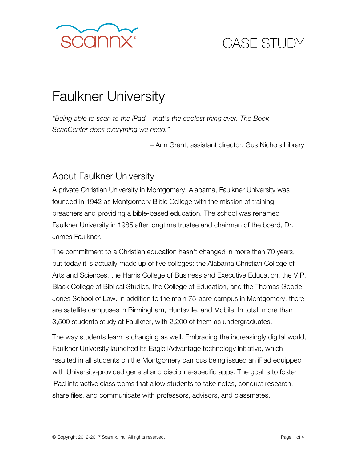

# CASE STUDY

# Faulkner University

*"Being able to scan to the iPad – that's the coolest thing ever. The Book ScanCenter does everything we need."* 

– Ann Grant, assistant director, Gus Nichols Library

#### About Faulkner University

A private Christian University in Montgomery, Alabama, Faulkner University was founded in 1942 as Montgomery Bible College with the mission of training preachers and providing a bible-based education. The school was renamed Faulkner University in 1985 after longtime trustee and chairman of the board, Dr. James Faulkner.

The commitment to a Christian education hasn't changed in more than 70 years, but today it is actually made up of five colleges: the Alabama Christian College of Arts and Sciences, the Harris College of Business and Executive Education, the V.P. Black College of Biblical Studies, the College of Education, and the Thomas Goode Jones School of Law. In addition to the main 75-acre campus in Montgomery, there are satellite campuses in Birmingham, Huntsville, and Mobile. In total, more than 3,500 students study at Faulkner, with 2,200 of them as undergraduates.

The way students learn is changing as well. Embracing the increasingly digital world, Faulkner University launched its Eagle iAdvantage technology initiative, which resulted in all students on the Montgomery campus being issued an iPad equipped with University-provided general and discipline-specific apps. The goal is to foster iPad interactive classrooms that allow students to take notes, conduct research, share files, and communicate with professors, advisors, and classmates.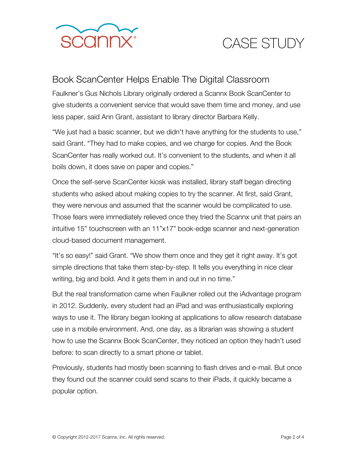

### CASE STUDY

#### Book ScanCenter Helps Enable The Digital Classroom

Faulkner's Gus Nichols Library originally ordered a Scannx Book ScanCenter to give students a convenient service that would save them time and money, and use less paper, said Ann Grant, assistant to library director Barbara Kelly.

"We just had a basic scanner, but we didn't have anything for the students to use," said Grant. "They had to make copies, and we charge for copies. And the Book ScanCenter has really worked out. It's convenient to the students, and when it all boils down, it does save on paper and copies."

Once the self-serve ScanCenter kiosk was installed, library staff began directing students who asked about making copies to try the scanner. At first, said Grant, they were nervous and assumed that the scanner would be complicated to use. Those fears were immediately relieved once they tried the Scannx unit that pairs an intuitive 15" touchscreen with an 11"x17" book-edge scanner and next-generation cloud-based document management.

"It's so easy!" said Grant. "We show them once and they get it right away. It's got simple directions that take them step-by-step. It tells you everything in nice clear writing, big and bold. And it gets them in and out in no time."

But the real transformation came when Faulkner rolled out the iAdvantage program in 2012. Suddenly, every student had an iPad and was enthusiastically exploring ways to use it. The library began looking at applications to allow research database use in a mobile environment. And, one day, as a librarian was showing a student how to use the Scannx Book ScanCenter, they noticed an option they hadn't used before: to scan directly to a smart phone or tablet.

Previously, students had mostly been scanning to flash drives and e-mail. But once they found out the scanner could send scans to their iPads, it quickly became a popular option.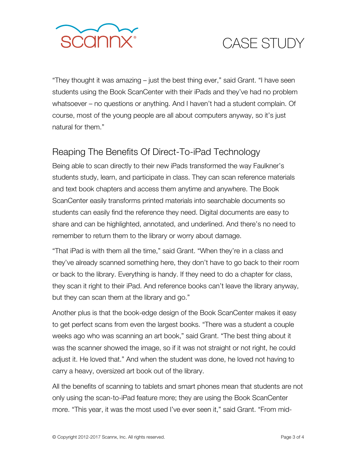

# CASE STUDY

"They thought it was amazing – just the best thing ever," said Grant. "I have seen students using the Book ScanCenter with their iPads and they've had no problem whatsoever – no questions or anything. And I haven't had a student complain. Of course, most of the young people are all about computers anyway, so it's just natural for them."

#### Reaping The Benefits Of Direct-To-iPad Technology

Being able to scan directly to their new iPads transformed the way Faulkner's students study, learn, and participate in class. They can scan reference materials and text book chapters and access them anytime and anywhere. The Book ScanCenter easily transforms printed materials into searchable documents so students can easily find the reference they need. Digital documents are easy to share and can be highlighted, annotated, and underlined. And there's no need to remember to return them to the library or worry about damage.

"That iPad is with them all the time," said Grant. "When they're in a class and they've already scanned something here, they don't have to go back to their room or back to the library. Everything is handy. If they need to do a chapter for class, they scan it right to their iPad. And reference books can't leave the library anyway, but they can scan them at the library and go."

Another plus is that the book-edge design of the Book ScanCenter makes it easy to get perfect scans from even the largest books. "There was a student a couple weeks ago who was scanning an art book," said Grant. "The best thing about it was the scanner showed the image, so if it was not straight or not right, he could adjust it. He loved that." And when the student was done, he loved not having to carry a heavy, oversized art book out of the library.

All the benefits of scanning to tablets and smart phones mean that students are not only using the scan-to-iPad feature more; they are using the Book ScanCenter more. "This year, it was the most used I've ever seen it," said Grant. "From mid-